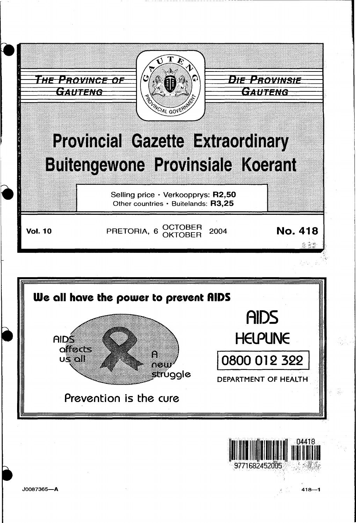

--- ----- ------------- -------------------

 $418 - 1$ 

9771682452005



J0087365-A